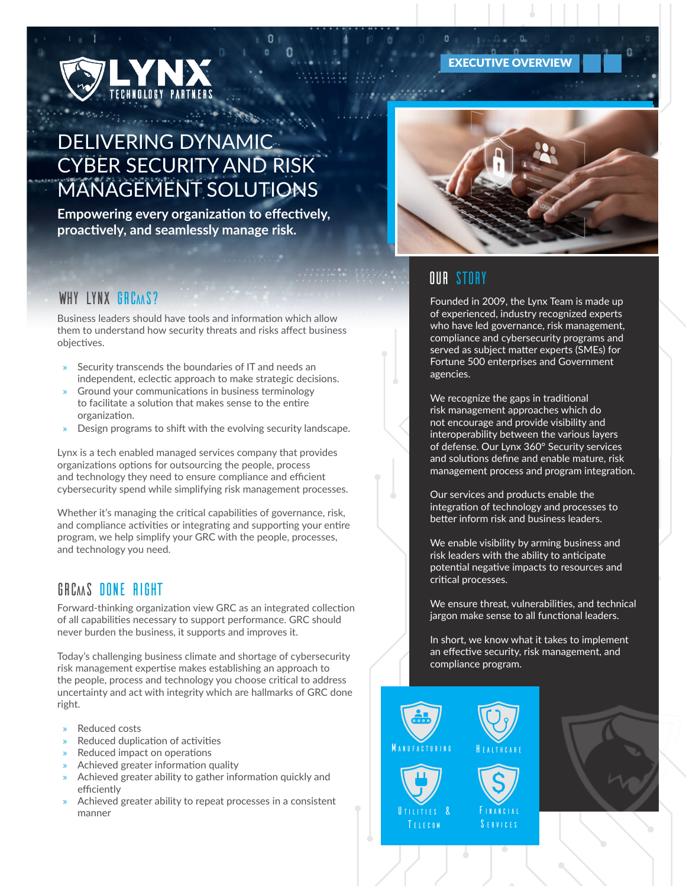# DELIVERING DYNAMIC CYBER SECURITY AND RISK MANAGEMENT SOLUTIONS

**Empowering every organization to effectively, proactively, and seamlessly manage risk.**

#### WHY LYNX GRCAAS?

Business leaders should have tools and information which allow them to understand how security threats and risks affect business objectives.

- » Security transcends the boundaries of IT and needs an independent, eclectic approach to make strategic decisions.
- » Ground your communications in business terminology to facilitate a solution that makes sense to the entire organization.
- » Design programs to shift with the evolving security landscape.

Lynx is a tech enabled managed services company that provides organizations options for outsourcing the people, process and technology they need to ensure compliance and efficient cybersecurity spend while simplifying risk management processes.

Whether it's managing the critical capabilities of governance, risk, and compliance activities or integrating and supporting your entire program, we help simplify your GRC with the people, processes, and technology you need.

#### GRCAAS DONE RIGHT

Forward-thinking organization view GRC as an integrated collection of all capabilities necessary to support performance. GRC should never burden the business, it supports and improves it.

Today's challenging business climate and shortage of cybersecurity risk management expertise makes establishing an approach to the people, process and technology you choose critical to address uncertainty and act with integrity which are hallmarks of GRC done right.

- » Reduced costs
- » Reduced duplication of activities
- » Reduced impact on operations
- » Achieved greater information quality
- » Achieved greater ability to gather information quickly and efficiently
- Achieved greater ability to repeat processes in a consistent manner



EXECUTIVE OVERVIEW



### Our Story

 $\mathbf{0}$ 

Founded in 2009, the Lynx Team is made up of experienced, industry recognized experts who have led governance, risk management, compliance and cybersecurity programs and served as subject matter experts (SMEs) for Fortune 500 enterprises and Government agencies.

We recognize the gaps in traditional risk management approaches which do not encourage and provide visibility and interoperability between the various layers of defense. Our Lynx 360° Security services and solutions define and enable mature, risk management process and program integration.

Our services and products enable the integration of technology and processes to better inform risk and business leaders.

We enable visibility by arming business and risk leaders with the ability to anticipate potential negative impacts to resources and critical processes.

We ensure threat, vulnerabilities, and technical jargon make sense to all functional leaders.

In short, we know what it takes to implement an effective security, risk management, and compliance program.